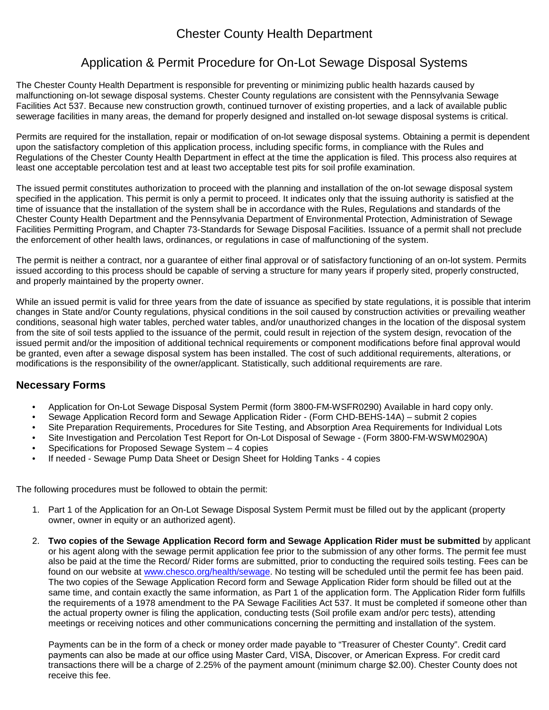## Chester County Health Department

## Application & Permit Procedure for On-Lot Sewage Disposal Systems

The Chester County Health Department is responsible for preventing or minimizing public health hazards caused by malfunctioning on-lot sewage disposal systems. Chester County regulations are consistent with the Pennsylvania Sewage Facilities Act 537. Because new construction growth, continued turnover of existing properties, and a lack of available public sewerage facilities in many areas, the demand for properly designed and installed on-lot sewage disposal systems is critical.

Permits are required for the installation, repair or modification of on-lot sewage disposal systems. Obtaining a permit is dependent upon the satisfactory completion of this application process, including specific forms, in compliance with the Rules and Regulations of the Chester County Health Department in effect at the time the application is filed. This process also requires at least one acceptable percolation test and at least two acceptable test pits for soil profile examination.

The issued permit constitutes authorization to proceed with the planning and installation of the on-lot sewage disposal system specified in the application. This permit is only a permit to proceed. It indicates only that the issuing authority is satisfied at the time of issuance that the installation of the system shall be in accordance with the Rules, Regulations and standards of the Chester County Health Department and the Pennsylvania Department of Environmental Protection, Administration of Sewage Facilities Permitting Program, and Chapter 73-Standards for Sewage Disposal Facilities. Issuance of a permit shall not preclude the enforcement of other health laws, ordinances, or regulations in case of malfunctioning of the system.

The permit is neither a contract, nor a guarantee of either final approval or of satisfactory functioning of an on-lot system. Permits issued according to this process should be capable of serving a structure for many years if properly sited, properly constructed, and properly maintained by the property owner.

While an issued permit is valid for three years from the date of issuance as specified by state regulations, it is possible that interim changes in State and/or County regulations, physical conditions in the soil caused by construction activities or prevailing weather conditions, seasonal high water tables, perched water tables, and/or unauthorized changes in the location of the disposal system from the site of soil tests applied to the issuance of the permit, could result in rejection of the system design, revocation of the issued permit and/or the imposition of additional technical requirements or component modifications before final approval would be granted, even after a sewage disposal system has been installed. The cost of such additional requirements, alterations, or modifications is the responsibility of the owner/applicant. Statistically, such additional requirements are rare.

## **Necessary Forms**

- Application for On-Lot Sewage Disposal System Permit (form 3800-FM-WSFR0290) Available in hard copy only.
- Sewage Application Record form and Sewage Application Rider (Form CHD-BEHS-14A) submit 2 copies
- Site Preparation Requirements, Procedures for Site Testing, and Absorption Area Requirements for Individual Lots
- Site Investigation and Percolation Test Report for On-Lot Disposal of Sewage (Form 3800-FM-WSWM0290A)
- Specifications for Proposed Sewage System 4 copies
- If needed Sewage Pump Data Sheet or Design Sheet for Holding Tanks 4 copies

The following procedures must be followed to obtain the permit:

- 1. Part 1 of the Application for an On-Lot Sewage Disposal System Permit must be filled out by the applicant (property owner, owner in equity or an authorized agent).
- 2. **Two copies of the Sewage Application Record form and Sewage Application Rider must be submitted** by applicant or his agent along with the sewage permit application fee prior to the submission of any other forms. The permit fee must also be paid at the time the Record/ Rider forms are submitted, prior to conducting the required soils testing. Fees can be found on our website at www.chesco.org/health/sewage. No testing will be scheduled until the permit fee has been paid. The two copies of the Sewage Application Record form and Sewage Application Rider form should be filled out at the same time, and contain exactly the same information, as Part 1 of the application form. The Application Rider form fulfills the requirements of a 1978 amendment to the PA Sewage Facilities Act 537. It must be completed if someone other than the actual property owner is filing the application, conducting tests (Soil profile exam and/or perc tests), attending meetings or receiving notices and other communications concerning the permitting and installation of the system.

Payments can be in the form of a check or money order made payable to "Treasurer of Chester County". Credit card payments can also be made at our office using Master Card, VISA, Discover, or American Express. For credit card transactions there will be a charge of 2.25% of the payment amount (minimum charge \$2.00). Chester County does not receive this fee.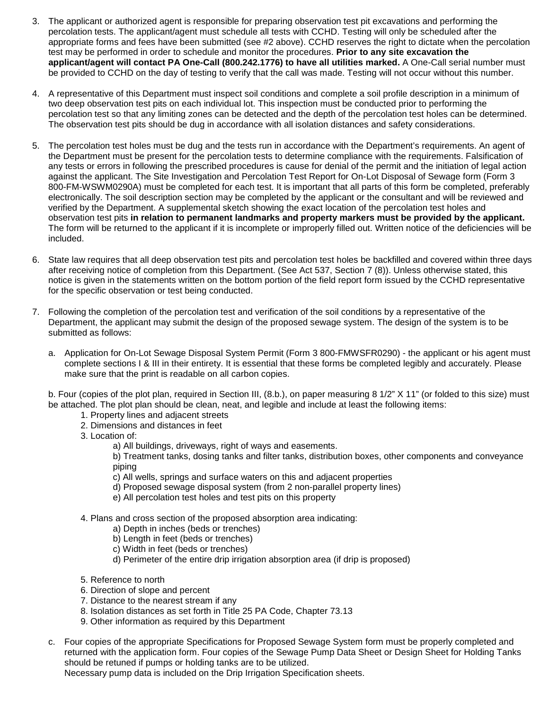- 3. The applicant or authorized agent is responsible for preparing observation test pit excavations and performing the percolation tests. The applicant/agent must schedule all tests with CCHD. Testing will only be scheduled after the appropriate forms and fees have been submitted (see #2 above). CCHD reserves the right to dictate when the percolation test may be performed in order to schedule and monitor the procedures. **Prior to any site excavation the applicant/agent will contact PA One-Call (800.242.1776) to have all utilities marked.** A One-Call serial number must be provided to CCHD on the day of testing to verify that the call was made. Testing will not occur without this number.
- 4. A representative of this Department must inspect soil conditions and complete a soil profile description in a minimum of two deep observation test pits on each individual lot. This inspection must be conducted prior to performing the percolation test so that any limiting zones can be detected and the depth of the percolation test holes can be determined. The observation test pits should be dug in accordance with all isolation distances and safety considerations.
- 5. The percolation test holes must be dug and the tests run in accordance with the Department's requirements. An agent of the Department must be present for the percolation tests to determine compliance with the requirements. Falsification of any tests or errors in following the prescribed procedures is cause for denial of the permit and the initiation of legal action against the applicant. The Site Investigation and Percolation Test Report for On-Lot Disposal of Sewage form (Form 3 800-FM-WSWM0290A) must be completed for each test. It is important that all parts of this form be completed, preferably electronically. The soil description section may be completed by the applicant or the consultant and will be reviewed and verified by the Department. A supplemental sketch showing the exact location of the percolation test holes and observation test pits **in relation to permanent landmarks and property markers must be provided by the applicant.**  The form will be returned to the applicant if it is incomplete or improperly filled out. Written notice of the deficiencies will be included.
- 6. State law requires that all deep observation test pits and percolation test holes be backfilled and covered within three days after receiving notice of completion from this Department. (See Act 537, Section 7 (8)). Unless otherwise stated, this notice is given in the statements written on the bottom portion of the field report form issued by the CCHD representative for the specific observation or test being conducted.
- 7. Following the completion of the percolation test and verification of the soil conditions by a representative of the Department, the applicant may submit the design of the proposed sewage system. The design of the system is to be submitted as follows:
	- a. Application for On-Lot Sewage Disposal System Permit (Form 3 800-FMWSFR0290) the applicant or his agent must complete sections I & III in their entirety. It is essential that these forms be completed legibly and accurately. Please make sure that the print is readable on all carbon copies.

b. Four (copies of the plot plan, required in Section III, (8.b.), on paper measuring 8 1/2" X 11" (or folded to this size) must be attached. The plot plan should be clean, neat, and legible and include at least the following items:

- 1. Property lines and adjacent streets
- 2. Dimensions and distances in feet
- 3. Location of:
	- a) All buildings, driveways, right of ways and easements.

b) Treatment tanks, dosing tanks and filter tanks, distribution boxes, other components and conveyance piping

- c) All wells, springs and surface waters on this and adjacent properties
- d) Proposed sewage disposal system (from 2 non-parallel property lines)
- e) All percolation test holes and test pits on this property
- 4. Plans and cross section of the proposed absorption area indicating:
	- a) Depth in inches (beds or trenches)
	- b) Length in feet (beds or trenches)
	- c) Width in feet (beds or trenches)
	- d) Perimeter of the entire drip irrigation absorption area (if drip is proposed)
- 5. Reference to north
- 6. Direction of slope and percent
- 7. Distance to the nearest stream if any
- 8. Isolation distances as set forth in Title 25 PA Code, Chapter 73.13
- 9. Other information as required by this Department
- c. Four copies of the appropriate Specifications for Proposed Sewage System form must be properly completed and returned with the application form. Four copies of the Sewage Pump Data Sheet or Design Sheet for Holding Tanks should be retuned if pumps or holding tanks are to be utilized.

Necessary pump data is included on the Drip Irrigation Specification sheets.